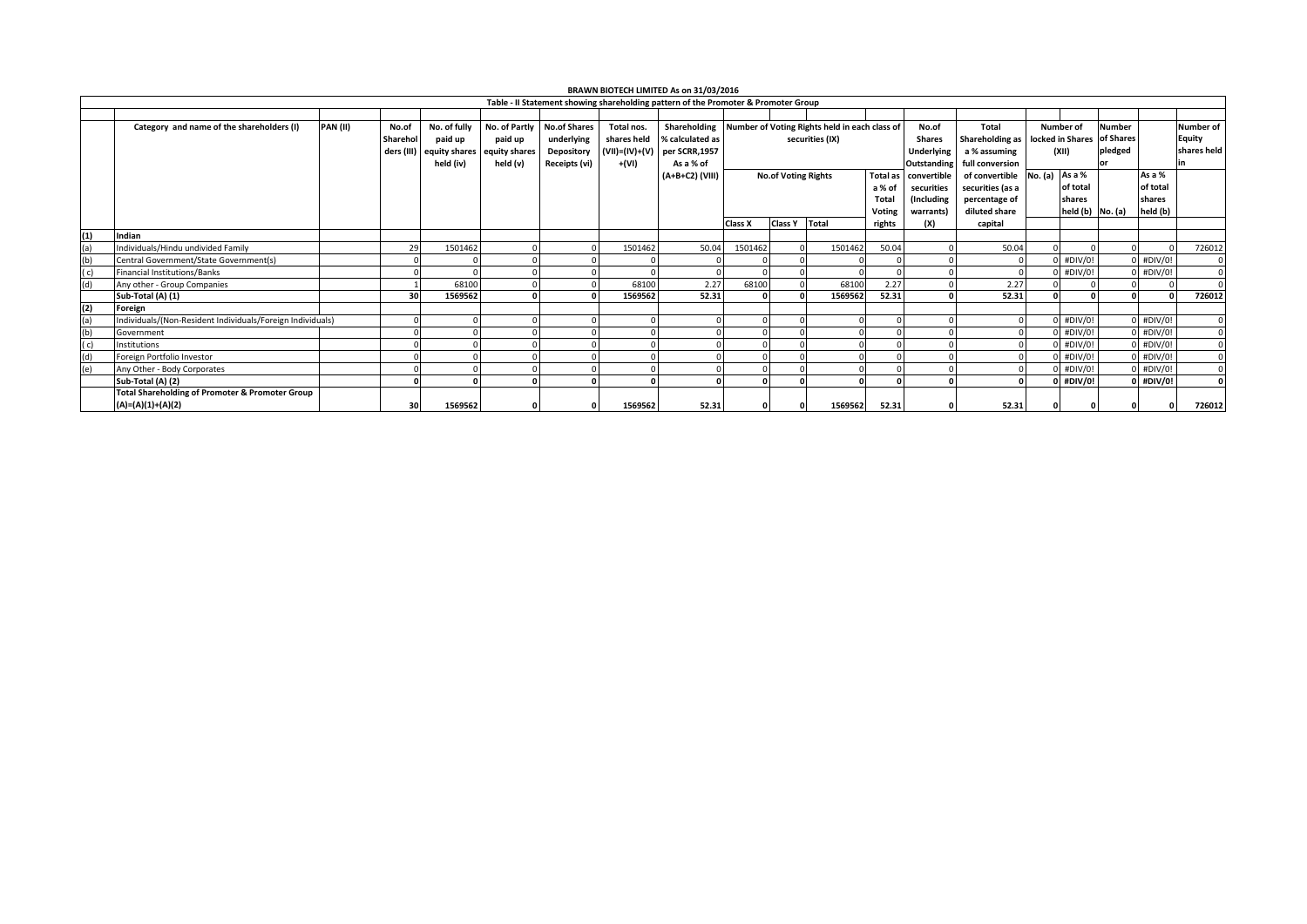| BRAWN BIOTECH LIMITED As on 31/03/2016                                             |                                                            |                  |               |                             |                     |                |                 |                            |                 |                                                            |                   |                    |                  |                                                |                      |         |             |                  |
|------------------------------------------------------------------------------------|------------------------------------------------------------|------------------|---------------|-----------------------------|---------------------|----------------|-----------------|----------------------------|-----------------|------------------------------------------------------------|-------------------|--------------------|------------------|------------------------------------------------|----------------------|---------|-------------|------------------|
| Table - II Statement showing shareholding pattern of the Promoter & Promoter Group |                                                            |                  |               |                             |                     |                |                 |                            |                 |                                                            |                   |                    |                  |                                                |                      |         |             |                  |
|                                                                                    |                                                            |                  |               |                             |                     |                |                 |                            |                 |                                                            |                   |                    |                  |                                                |                      |         |             |                  |
|                                                                                    | Category and name of the shareholders (I)                  | PAN(II)<br>No.of | No. of fully  | No. of Partly               | <b>No.of Shares</b> | Total nos.     |                 |                            |                 | Shareholding Number of Voting Rights held in each class of |                   | No.of              | Total            |                                                | Number of            | Number  |             | <b>Number of</b> |
|                                                                                    |                                                            | Sharehol         | paid up       | paid up                     | underlying          | shares held    | % calculated as | securities (IX)            |                 |                                                            | <b>Shares</b>     |                    |                  | Shareholding as   locked in Shares   of Shares |                      |         |             | Equity           |
|                                                                                    |                                                            | ders (III)       |               | equity shares equity shares | Depository          | (VII)=(IV)+(V) | per SCRR,1957   |                            |                 |                                                            | <b>Underlying</b> |                    | a % assuming     | (XII)                                          |                      | pledged |             | shares held      |
|                                                                                    |                                                            |                  | held (iv)     | held (v)                    | Receipts (vi)       | +(VI)          | As a % of       |                            |                 |                                                            |                   | <b>Outstanding</b> | full conversion  |                                                |                      | or      |             |                  |
|                                                                                    |                                                            |                  |               |                             |                     |                | (A+B+C2) (VIII) | <b>No.of Voting Rights</b> |                 |                                                            | <b>Total as</b>   | convertible        | of convertible   | No. (a)                                        | As a %               |         | As a %      |                  |
|                                                                                    |                                                            |                  |               |                             |                     |                |                 |                            |                 |                                                            | a % of            | securities         | securities (as a |                                                | of total             |         | of total    |                  |
|                                                                                    |                                                            |                  |               |                             |                     |                |                 |                            |                 |                                                            | Total             | (Including         | percentage of    |                                                | shares               |         | shares      |                  |
|                                                                                    |                                                            |                  |               |                             |                     |                |                 |                            |                 |                                                            | Voting            | warrants)          | diluted share    |                                                | held $(b)$ No. $(a)$ |         | held (b)    |                  |
|                                                                                    |                                                            |                  |               |                             |                     |                |                 | Class X                    | Class Y   Total |                                                            | rights            | (X)                | capital          |                                                |                      |         |             |                  |
| (1)                                                                                | Indian                                                     |                  |               |                             |                     |                |                 |                            |                 |                                                            |                   |                    |                  |                                                |                      |         |             |                  |
| (a)                                                                                | Individuals/Hindu undivided Family                         |                  | 29<br>1501462 |                             |                     | 1501462        | 50.04           | 1501462                    |                 | 1501462                                                    | 50.04             |                    | 50.04            |                                                |                      |         |             | 726012           |
| (b)                                                                                | Central Government/State Government(s)                     |                  |               |                             |                     |                |                 |                            |                 |                                                            |                   |                    |                  |                                                | $0$ #DIV/0!          |         | $0$ #DIV/0! |                  |
| (C)                                                                                | <b>Financial Institutions/Banks</b>                        |                  |               |                             |                     |                |                 |                            |                 |                                                            |                   |                    |                  |                                                | $0$ #DIV/0!          |         | $0$ #DIV/0! |                  |
| (d)                                                                                | Any other - Group Companies                                |                  | 68100         |                             |                     | 68100          | 2.27            | 68100                      |                 | 68100                                                      | 2.27              |                    | 2.27             |                                                |                      |         |             |                  |
|                                                                                    | Sub-Total (A) (1)                                          |                  | 30<br>1569562 |                             |                     | 1569562        | 52.31           |                            |                 | 1569562                                                    | 52.31             |                    | 52.31            |                                                |                      |         | $\Omega$    | 726012           |
| (2)                                                                                | Foreign                                                    |                  |               |                             |                     |                |                 |                            |                 |                                                            |                   |                    |                  |                                                |                      |         |             |                  |
| (a)                                                                                | Individuals/(Non-Resident Individuals/Foreign Individuals) |                  |               |                             |                     |                |                 |                            |                 |                                                            |                   |                    |                  |                                                | $0$ #DIV/0!          |         | $0$ #DIV/0! |                  |
| (b)                                                                                | Government                                                 |                  |               |                             |                     |                |                 |                            |                 |                                                            |                   |                    |                  |                                                | $0$ #DIV/0!          |         | $0$ #DIV/0! |                  |
| (c)                                                                                | Institutions                                               |                  |               |                             |                     |                |                 |                            |                 |                                                            |                   |                    |                  |                                                | $0$ #DIV/0!          |         | $0$ #DIV/0! |                  |
| (d)                                                                                | Foreign Portfolio Investor                                 |                  |               |                             |                     |                |                 |                            |                 |                                                            |                   |                    |                  |                                                | $0$ #DIV/0!          |         | $0$ #DIV/0! |                  |
| (e)                                                                                | Any Other - Body Corporates                                |                  |               |                             |                     |                |                 |                            |                 |                                                            |                   |                    |                  |                                                | $0$ #DIV/0!          |         | $0$ #DIV/0! |                  |
|                                                                                    | Sub-Total (A) (2)                                          |                  |               |                             |                     |                |                 |                            |                 | 0                                                          |                   |                    |                  |                                                | $0$ #DIV/0!          |         | $0$ #DIV/0! |                  |
|                                                                                    | <b>Total Shareholding of Promoter &amp; Promoter Group</b> |                  |               |                             |                     |                |                 |                            |                 |                                                            |                   |                    |                  |                                                |                      |         |             |                  |
|                                                                                    | (A)=(A)(1)+(A)(2)                                          |                  | 1569562<br>30 |                             |                     | 1569562        | 52.31           |                            |                 | 1569562                                                    | 52.31             |                    | 52.31            |                                                |                      |         |             | 726012           |